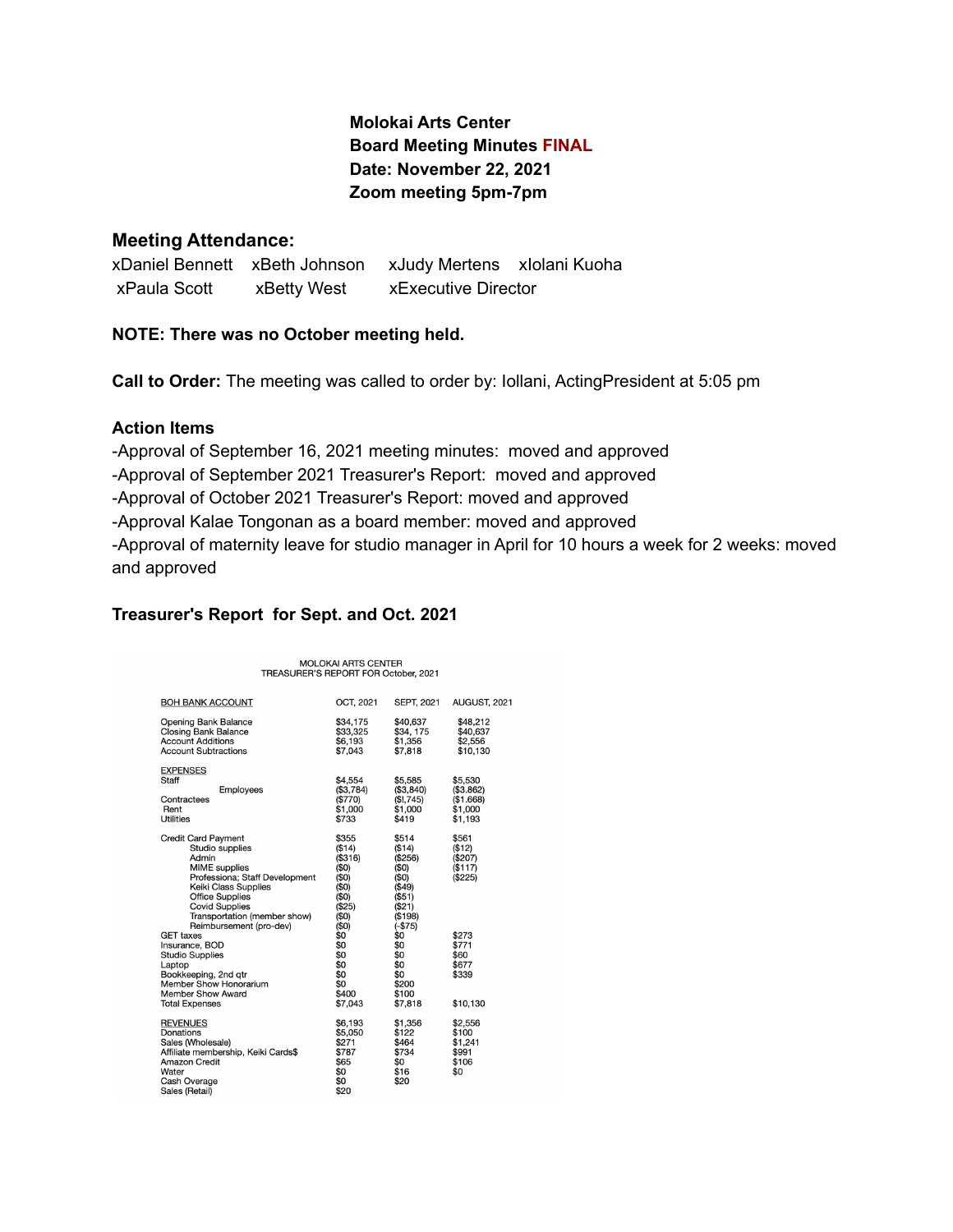## **Molokai Arts Center Board Meeting Minutes FINAL Date: November 22, 2021 Zoom meeting 5pm-7pm**

#### **Meeting Attendance:**

xDaniel Bennett xBeth Johnson xJudy Mertens xIolani Kuoha xPaula Scott xBetty West xExecutive Director

#### **NOTE: There was no October meeting held.**

**Call to Order:** The meeting was called to order by: Iollani, ActingPresident at 5:05 pm

#### **Action Items**

-Approval of September 16, 2021 meeting minutes: moved and approved -Approval of September 2021 Treasurer's Report: moved and approved -Approval of October 2021 Treasurer's Report: moved and approved -Approval Kalae Tongonan as a board member: moved and approved -Approval of maternity leave for studio manager in April for 10 hours a week for 2 weeks: moved and approved

#### **Treasurer's Report for Sept. and Oct. 2021**

| <b>MOLOKAI ARTS CENTER</b><br>TREASURER'S REPORT FOR October, 2021                                                                                                                                                                                     |                                     |                                                                                       |                                                                                                |                                                         |
|--------------------------------------------------------------------------------------------------------------------------------------------------------------------------------------------------------------------------------------------------------|-------------------------------------|---------------------------------------------------------------------------------------|------------------------------------------------------------------------------------------------|---------------------------------------------------------|
| <b>BOH BANK ACCOUNT</b>                                                                                                                                                                                                                                |                                     | OCT, 2021                                                                             | <b>SEPT, 2021</b>                                                                              | AUGUST, 2021                                            |
| <b>Opening Bank Balance</b><br><b>Closing Bank Balance</b><br><b>Account Additions</b><br><b>Account Subtractions</b>                                                                                                                                  |                                     | \$34,175<br>\$33,325<br>\$6.193<br>\$7,043                                            | \$40,637<br>\$34, 175<br>\$1,356<br>\$7,818                                                    | \$48,212<br>\$40,637<br>\$2,556<br>\$10,130             |
| <b>EXPENSES</b><br>Staff<br>Contractees<br>Rent<br>Utilities                                                                                                                                                                                           | Employees                           | \$4.554<br>(\$3,784)<br>(\$770)<br>\$1,000<br>\$733                                   | \$5,585<br>(\$3,840)<br>(\$!, 745)<br>\$1,000<br>\$419                                         | \$5,530<br>(\$3.862)<br>(\$1.668)<br>\$1,000<br>\$1.193 |
| <b>Credit Card Payment</b><br>Studio supplies<br>Admin<br><b>MIME</b> supplies<br>Professiona; Staff Development<br>Keiki Class Supplies<br><b>Office Supplies</b><br><b>Covid Supplies</b><br>Transportation (member show)<br>Reimbursement (pro-dev) |                                     | \$355<br>( \$14)<br>(\$316)<br>(50)<br>(50)<br>(50)<br>(50)<br>(\$25)<br>(50)<br>(50) | \$514<br>(\$14)<br>(\$256)<br>(50)<br>(50)<br>(\$49)<br>(\$51)<br>(S21)<br>(\$198)<br>$(-$75)$ | \$561<br>( \$12)<br>(\$207)<br>(\$117)<br>(\$225)       |
| <b>GET taxes</b><br>Insurance, BOD<br><b>Studio Supplies</b><br>Laptop<br>Bookkeeping, 2nd qtr<br>Member Show Honorarium<br>Member Show Award<br><b>Total Expenses</b>                                                                                 |                                     | \$0<br>\$0<br>\$0<br>\$0<br>\$0<br>\$0<br>\$400<br>\$7,043                            | \$0<br>\$0<br>\$0<br>\$0<br>\$0<br>\$200<br>\$100<br>\$7,818                                   | \$273<br>\$771<br>\$60<br>\$677<br>\$339<br>\$10,130    |
| <b>REVENUES</b><br>Donations<br>Sales (Wholesale)<br><b>Amazon Credit</b><br>Water<br>Cash Overage<br>Sales (Retail)                                                                                                                                   | Affiliate membership, Keiki Cards\$ | \$6,193<br>\$5,050<br>\$271<br>\$787<br>\$65<br>\$0<br>\$0<br>\$20                    | \$1,356<br>\$122<br>\$464<br>\$734<br>\$0<br>\$16<br>\$20                                      | \$2,556<br>\$100<br>\$1,241<br>\$991<br>\$106<br>\$0    |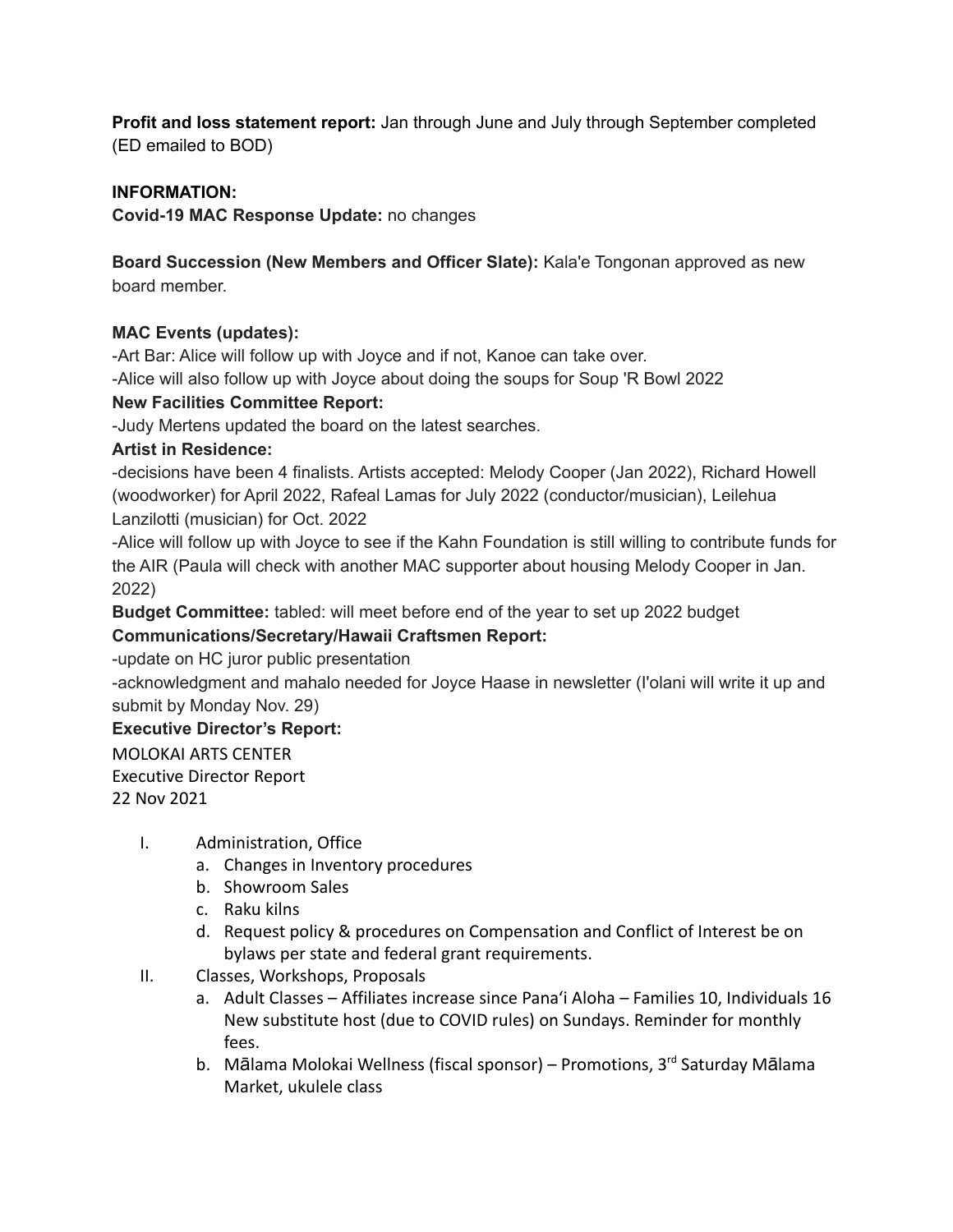**Profit and loss statement report:** Jan through June and July through September completed (ED emailed to BOD)

## **INFORMATION:**

**Covid-19 MAC Response Update:** no changes

**Board Succession (New Members and Officer Slate):** Kala'e Tongonan approved as new board member.

## **MAC Events (updates):**

-Art Bar: Alice will follow up with Joyce and if not, Kanoe can take over.

-Alice will also follow up with Joyce about doing the soups for Soup 'R Bowl 2022

## **New Facilities Committee Report:**

-Judy Mertens updated the board on the latest searches.

## **Artist in Residence:**

-decisions have been 4 finalists. Artists accepted: Melody Cooper (Jan 2022), Richard Howell (woodworker) for April 2022, Rafeal Lamas for July 2022 (conductor/musician), Leilehua Lanzilotti (musician) for Oct. 2022

-Alice will follow up with Joyce to see if the Kahn Foundation is still willing to contribute funds for the AIR (Paula will check with another MAC supporter about housing Melody Cooper in Jan. 2022)

**Budget Committee:** tabled: will meet before end of the year to set up 2022 budget

# **Communications/Secretary/Hawaii Craftsmen Report:**

-update on HC juror public presentation

-acknowledgment and mahalo needed for Joyce Haase in newsletter (I'olani will write it up and submit by Monday Nov. 29)

### **Executive Director's Report:**

MOLOKAI ARTS CENTER Executive Director Report 22 Nov 2021

- I. Administration, Office
	- a. Changes in Inventory procedures
	- b. Showroom Sales
	- c. Raku kilns
	- d. Request policy & procedures on Compensation and Conflict of Interest be on bylaws per state and federal grant requirements.
- II. Classes, Workshops, Proposals
	- a. Adult Classes Affiliates increase since Pana'i Aloha Families 10, Individuals 16 New substitute host (due to COVID rules) on Sundays. Reminder for monthly fees.
	- b. Mālama Molokai Wellness (fiscal sponsor) Promotions, 3<sup>rd</sup> Saturday Mālama Market, ukulele class